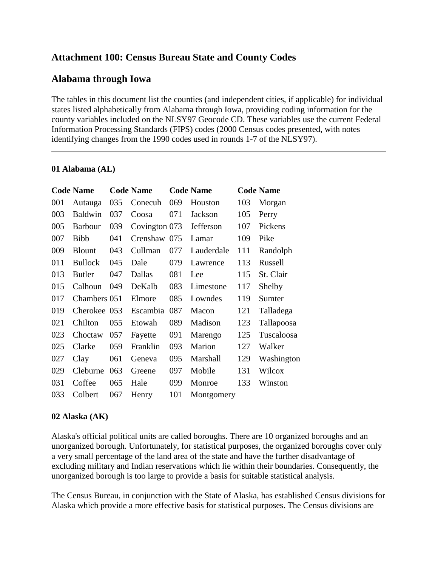# **Attachment 100: Census Bureau State and County Codes**

# **Alabama through Iowa**

The tables in this document list the counties (and independent cities, if applicable) for individual states listed alphabetically from Alabama through Iowa, providing coding information for the county variables included on the NLSY97 Geocode CD. These variables use the current Federal Information Processing Standards (FIPS) codes (2000 Census codes presented, with notes identifying changes from the 1990 codes used in rounds 1-7 of the NLSY97).

#### **01 Alabama (AL)**

|     | <b>Code Name</b> |     | <b>Code Name</b> |     | <b>Code Name</b> |     | <b>Code Name</b> |
|-----|------------------|-----|------------------|-----|------------------|-----|------------------|
| 001 | Autauga          | 035 | Conecuh          | 069 | Houston          | 103 | Morgan           |
| 003 | <b>Baldwin</b>   | 037 | Coosa            | 071 | Jackson          | 105 | Perry            |
| 005 | <b>Barbour</b>   | 039 | Covington 073    |     | Jefferson        | 107 | Pickens          |
| 007 | <b>Bibb</b>      | 041 | Crenshaw 075     |     | Lamar            | 109 | Pike             |
| 009 | <b>Blount</b>    | 043 | Cullman          | 077 | Lauderdale       | 111 | Randolph         |
| 011 | <b>Bullock</b>   | 045 | Dale             | 079 | Lawrence         | 113 | Russell          |
| 013 | <b>Butler</b>    | 047 | Dallas           | 081 | Lee              | 115 | St. Clair        |
| 015 | Calhoun          | 049 | DeKalb           | 083 | Limestone        | 117 | Shelby           |
| 017 | Chambers 051     |     | Elmore           | 085 | Lowndes          | 119 | Sumter           |
| 019 | Cherokee 053     |     | Escambia         | 087 | Macon            | 121 | Talladega        |
| 021 | Chilton          | 055 | Etowah           | 089 | Madison          | 123 | Tallapoosa       |
| 023 | Choctaw          | 057 | Fayette          | 091 | Marengo          | 125 | Tuscaloosa       |
| 025 | Clarke           | 059 | Franklin         | 093 | Marion           | 127 | Walker           |
| 027 | Clay             | 061 | Geneva           | 095 | Marshall         | 129 | Washington       |
| 029 | Cleburne         | 063 | Greene           | 097 | Mobile           | 131 | Wilcox           |
| 031 | Coffee           | 065 | Hale             | 099 | Monroe           | 133 | Winston          |
| 033 | Colbert          | 067 | Henry            | 101 | Montgomery       |     |                  |

### **02 Alaska (AK)**

Alaska's official political units are called boroughs. There are 10 organized boroughs and an unorganized borough. Unfortunately, for statistical purposes, the organized boroughs cover only a very small percentage of the land area of the state and have the further disadvantage of excluding military and Indian reservations which lie within their boundaries. Consequently, the unorganized borough is too large to provide a basis for suitable statistical analysis.

The Census Bureau, in conjunction with the State of Alaska, has established Census divisions for Alaska which provide a more effective basis for statistical purposes. The Census divisions are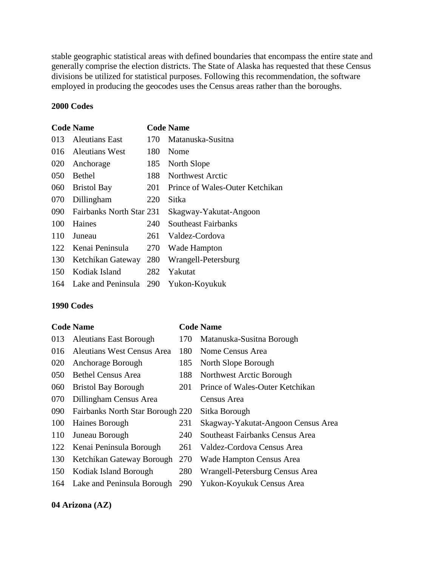stable geographic statistical areas with defined boundaries that encompass the entire state and generally comprise the election districts. The State of Alaska has requested that these Census divisions be utilized for statistical purposes. Following this recommendation, the software employed in producing the geocodes uses the Census areas rather than the boroughs.

#### **2000 Codes**

#### **Code Name Code Name**

| 013 | Aleutians East           | 170 | Matanuska-Susitna               |
|-----|--------------------------|-----|---------------------------------|
| 016 | Aleutians West           | 180 | Nome                            |
| 020 | Anchorage                | 185 | North Slope                     |
| 050 | <b>Bethel</b>            | 188 | Northwest Arctic                |
| 060 | <b>Bristol Bay</b>       | 201 | Prince of Wales-Outer Ketchikan |
| 070 | Dillingham               | 220 | Sitka                           |
| 090 | Fairbanks North Star 231 |     | Skagway-Yakutat-Angoon          |
| 100 | Haines                   | 240 | Southeast Fairbanks             |
| 110 | Juneau                   | 261 | Valdez-Cordova                  |
| 122 | Kenai Peninsula          | 270 | Wade Hampton                    |
| 130 | Ketchikan Gateway        | 280 | Wrangell-Petersburg             |
| 150 | Kodiak Island            | 282 | Yakutat                         |
| 164 | Lake and Peninsula       | 290 | Yukon-Koyukuk                   |
|     |                          |     |                                 |

#### **1990 Codes**

#### **Code Name Code Name**

- 013 Aleutians East Borough 170 Matanuska-Susitna Borough 016 Aleutians West Census Area 180 Nome Census Area 020 Anchorage Borough 185 North Slope Borough 050 Bethel Census Area 188 Northwest Arctic Borough 060 Bristol Bay Borough 201 Prince of Wales-Outer Ketchikan 070 Dillingham Census Area Census Area 090 Fairbanks North Star Borough 220 Sitka Borough
- 
- 122 Kenai Peninsula Borough 261 Valdez-Cordova Census Area
- 130 Ketchikan Gateway Borough 270 Wade Hampton Census Area
- 
- 164 Lake and Peninsula Borough 290 Yukon-Koyukuk Census Area
- 
- 
- 
- -
- 100 Haines Borough 231 Skagway-Yakutat-Angoon Census Area
- 110 Juneau Borough 240 Southeast Fairbanks Census Area
	-
	-
- 150 Kodiak Island Borough 280 Wrangell-Petersburg Census Area
	-

#### **04 Arizona (AZ)**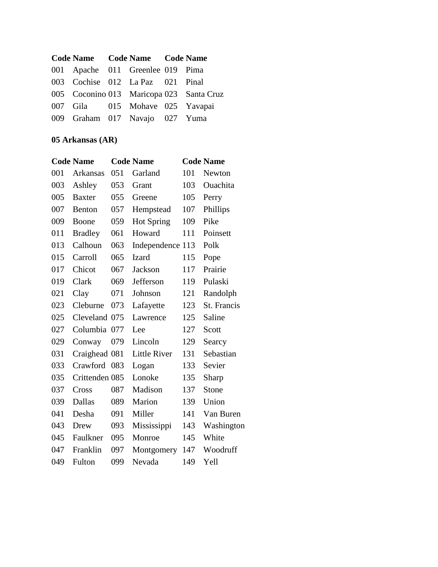| Code Name Code Name Code Name    |  |                                          |
|----------------------------------|--|------------------------------------------|
| 001 Apache 011 Greenlee 019 Pima |  |                                          |
| 003 Cochise 012 La Paz 021 Pinal |  |                                          |
|                                  |  | 005 Coconino 013 Maricopa 023 Santa Cruz |
| 007 Gila 015 Mohave 025 Yavapai  |  |                                          |
| 009 Graham 017 Navajo 027 Yuma   |  |                                          |

# **05 Arkansas (AR)**

|     | <b>Code Name</b> |     | <b>Code Name</b>    |     | <b>Code Name</b> |
|-----|------------------|-----|---------------------|-----|------------------|
| 001 | Arkansas         | 051 | Garland             | 101 | Newton           |
| 003 | Ashley           | 053 | Grant               | 103 | Ouachita         |
| 005 | <b>Baxter</b>    | 055 | Greene              | 105 | Perry            |
| 007 | Benton           | 057 | Hempstead           | 107 | Phillips         |
| 009 | Boone            | 059 | <b>Hot Spring</b>   | 109 | Pike             |
| 011 | <b>Bradley</b>   | 061 | Howard              | 111 | Poinsett         |
| 013 | Calhoun          | 063 | Independence 113    |     | Polk             |
| 015 | Carroll          | 065 | <b>Izard</b>        | 115 | Pope             |
| 017 | Chicot           | 067 | Jackson             | 117 | Prairie          |
| 019 | Clark            | 069 | Jefferson           | 119 | Pulaski          |
| 021 | Clay             | 071 | Johnson             | 121 | Randolph         |
| 023 | Cleburne         | 073 | Lafayette           | 123 | St. Francis      |
| 025 | Cleveland 075    |     | Lawrence            | 125 | Saline           |
| 027 | Columbia         | 077 | Lee                 | 127 | Scott            |
| 029 | Conway           | 079 | Lincoln             | 129 | Searcy           |
| 031 | Craighead 081    |     | <b>Little River</b> | 131 | Sebastian        |
| 033 | Crawford         | 083 | Logan               | 133 | Sevier           |
| 035 | Crittenden 085   |     | Lonoke              | 135 | Sharp            |
| 037 | Cross            | 087 | Madison             | 137 | Stone            |
| 039 | Dallas           | 089 | Marion              | 139 | Union            |
| 041 | Desha            | 091 | Miller              | 141 | Van Buren        |
| 043 | Drew             | 093 | Mississippi         | 143 | Washington       |
| 045 | Faulkner         | 095 | Monroe              | 145 | White            |
| 047 | Franklin         | 097 | Montgomery          | 147 | Woodruff         |
| 049 | Fulton           | 099 | Nevada              | 149 | Yell             |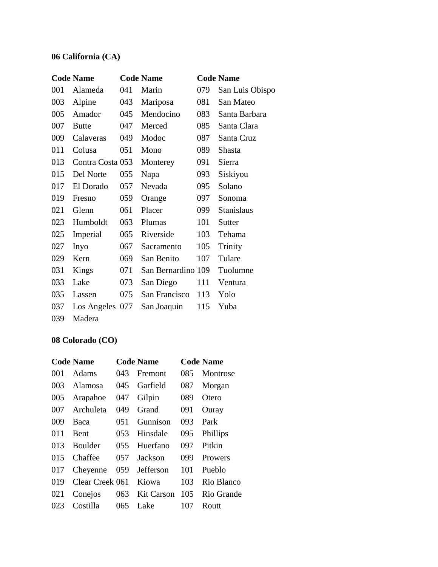# **06 California (CA)**

|     | <b>Code Name</b> |     | <b>Code Name</b>   |     | <b>Code Name</b>  |
|-----|------------------|-----|--------------------|-----|-------------------|
| 001 | Alameda          | 041 | Marin              | 079 | San Luis Obispo   |
| 003 | Alpine           | 043 | Mariposa           | 081 | San Mateo         |
| 005 | Amador           | 045 | Mendocino          | 083 | Santa Barbara     |
| 007 | <b>Butte</b>     | 047 | Merced             | 085 | Santa Clara       |
| 009 | Calaveras        | 049 | Modoc              | 087 | Santa Cruz        |
| 011 | Colusa           | 051 | Mono               | 089 | Shasta            |
| 013 | Contra Costa 053 |     | Monterey           | 091 | Sierra            |
| 015 | Del Norte        | 055 | Napa               | 093 | Siskiyou          |
| 017 | El Dorado        | 057 | Nevada             | 095 | Solano            |
| 019 | Fresno           | 059 | Orange             | 097 | Sonoma            |
| 021 | Glenn            | 061 | Placer             | 099 | <b>Stanislaus</b> |
| 023 | Humboldt         | 063 | Plumas             | 101 | Sutter            |
| 025 | Imperial         | 065 | Riverside          | 103 | Tehama            |
| 027 | Inyo             | 067 | Sacramento         | 105 | Trinity           |
| 029 | Kern             | 069 | San Benito         | 107 | Tulare            |
| 031 | Kings            | 071 | San Bernardino 109 |     | Tuolumne          |
| 033 | Lake             | 073 | San Diego          | 111 | Ventura           |
| 035 | Lassen           | 075 | San Francisco      | 113 | Yolo              |
| 037 | Los Angeles 077  |     | San Joaquin        | 115 | Yuba              |
| 039 | Madera           |     |                    |     |                   |

# **08 Colorado (CO)**

|     | <b>Code Name</b> |     | <b>Code Name</b> |     | <b>Code Name</b> |
|-----|------------------|-----|------------------|-----|------------------|
| 001 | <b>Adams</b>     | 043 | Fremont          | 085 | Montrose         |
| 003 | Alamosa          | 045 | Garfield         | 087 | Morgan           |
| 005 | Arapahoe         | 047 | Gilpin           | 089 | Otero            |
| 007 | Archuleta        | 049 | Grand            | 091 | Ouray            |
| 009 | Baca             | 051 | Gunnison         | 093 | Park             |
| 011 | Bent             | 053 | Hinsdale         | 095 | Phillips         |
| 013 | Boulder          | 055 | Huerfano         | 097 | Pitkin           |
| 015 | Chaffee          | 057 | Jackson          | 099 | <b>Prowers</b>   |
| 017 | Cheyenne         | 059 | Jefferson        | 101 | Pueblo           |
| 019 | Clear Creek 061  |     | Kiowa            | 103 | Rio Blanco       |
| 021 | Conejos          | 063 | Kit Carson       | 105 | Rio Grande       |
| 023 | Costilla         | 065 | Lake             | 107 | Routt            |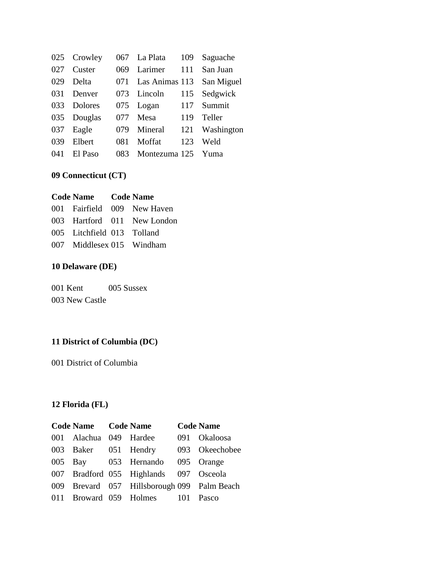|     | 025 Crowley    | 067 | La Plata       | 109 | Saguache      |
|-----|----------------|-----|----------------|-----|---------------|
| 027 | Custer         | 069 | Larimer        | 111 | San Juan      |
| 029 | Delta          | 071 | Las Animas 113 |     | San Miguel    |
| 031 | Denver         | 073 | Lincoln        | 115 | Sedgwick      |
| 033 | <b>Dolores</b> | 075 | Logan          | 117 | Summit        |
| 035 | Douglas        | 077 | Mesa           | 119 | <b>Teller</b> |
| 037 | Eagle          | 079 | Mineral        | 121 | Washington    |
| 039 | Elbert         | 081 | Moffat         | 123 | Weld          |
| 041 | El Paso        | 083 | Montezuma 125  |     | Yuma          |

# **09 Connecticut (CT)**

| Code Name Code Name        |                             |
|----------------------------|-----------------------------|
|                            | 001 Fairfield 009 New Haven |
|                            | 003 Hartford 011 New London |
| 005 Litchfield 013 Tolland |                             |
| 007 Middlesex 015 Windham  |                             |

# **10 Delaware (DE)**

001 Kent 005 Sussex 003 New Castle

# **11 District of Columbia (DC)**

001 District of Columbia

# **12 Florida (FL)**

| Code Name Code Name    |                                             |                   | <b>Code Name</b> |
|------------------------|---------------------------------------------|-------------------|------------------|
| 001 Alachua 049 Hardee |                                             |                   | 091 Okaloosa     |
| 003 Baker 051 Hendry   |                                             |                   | 093 Okeechobee   |
|                        | 005 Bay 053 Hernando 095 Orange             |                   |                  |
|                        | 007 Bradford 055 Highlands 097 Osceola      |                   |                  |
|                        | 009 Brevard 057 Hillsborough 099 Palm Beach |                   |                  |
|                        | 011 Broward 059 Holmes                      | 101 <sup>-1</sup> | <b>Pasco</b>     |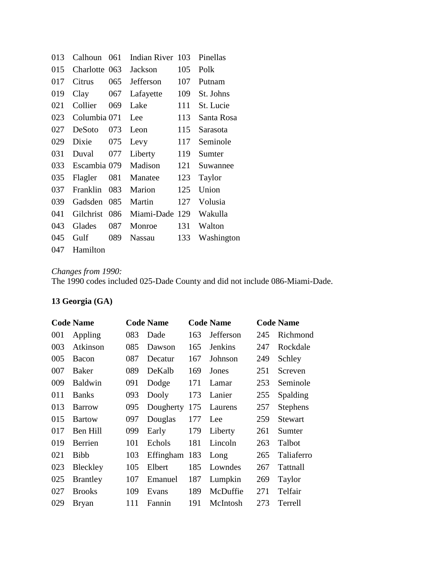| 013 | Calhoun      | 061  | Indian River 103 |     | Pinellas   |
|-----|--------------|------|------------------|-----|------------|
| 015 | Charlotte    | -063 | Jackson          | 105 | Polk       |
| 017 | Citrus       | 065  | Jefferson        | 107 | Putnam     |
| 019 | Clay         | 067  | Lafayette        | 109 | St. Johns  |
| 021 | Collier      | 069  | Lake             | 111 | St. Lucie  |
| 023 | Columbia 071 |      | Lee              | 113 | Santa Rosa |
| 027 | DeSoto       | 073  | Leon             | 115 | Sarasota   |
| 029 | Dixie        | 075  | Levy             | 117 | Seminole   |
| 031 | Duval        | 077  | Liberty          | 119 | Sumter     |
| 033 | Escambia 079 |      | Madison          | 121 | Suwannee   |
| 035 | Flagler      | 081  | Manatee          | 123 | Taylor     |
| 037 | Franklin     | 083  | Marion           | 125 | Union      |
| 039 | Gadsden      | 085  | Martin           | 127 | Volusia    |
| 041 | Gilchrist    | 086  | Miami-Dade       | 129 | Wakulla    |
| 043 | Glades       | 087  | Monroe           | 131 | Walton     |
| 045 | Gulf         | 089  | Nassau           | 133 | Washington |
| 047 | Hamilton     |      |                  |     |            |

#### *Changes from 1990:*

The 1990 codes included 025-Dade County and did not include 086-Miami-Dade.

# **13 Georgia (GA)**

|     | <b>Code Name</b> |     | <b>Code Name</b> |     | <b>Code Name</b> |     | <b>Code Name</b> |
|-----|------------------|-----|------------------|-----|------------------|-----|------------------|
| 001 | Appling          | 083 | Dade             | 163 | Jefferson        | 245 | Richmond         |
| 003 | Atkinson         | 085 | Dawson           | 165 | <b>Jenkins</b>   | 247 | Rockdale         |
| 005 | <b>Bacon</b>     | 087 | Decatur          | 167 | Johnson          | 249 | Schley           |
| 007 | Baker            | 089 | DeKalb           | 169 | Jones            | 251 | Screven          |
| 009 | <b>Baldwin</b>   | 091 | Dodge            | 171 | Lamar            | 253 | Seminole         |
| 011 | <b>Banks</b>     | 093 | Dooly            | 173 | Lanier           | 255 | Spalding         |
| 013 | <b>Barrow</b>    | 095 | Dougherty        | 175 | Laurens          | 257 | <b>Stephens</b>  |
| 015 | <b>Bartow</b>    | 097 | Douglas          | 177 | Lee              | 259 | <b>Stewart</b>   |
| 017 | Ben Hill         | 099 | Early            | 179 | Liberty          | 261 | Sumter           |
| 019 | Berrien          | 101 | Echols           | 181 | Lincoln          | 263 | Talbot           |
| 021 | <b>Bibb</b>      | 103 | Effingham        | 183 | Long             | 265 | Taliaferro       |
| 023 | Bleckley         | 105 | Elbert           | 185 | Lowndes          | 267 | Tattnall         |
| 025 | <b>Brantley</b>  | 107 | Emanuel          | 187 | Lumpkin          | 269 | Taylor           |
| 027 | <b>Brooks</b>    | 109 | Evans            | 189 | McDuffie         | 271 | Telfair          |
| 029 | <b>Bryan</b>     | 111 | Fannin           | 191 | McIntosh         | 273 | Terrell          |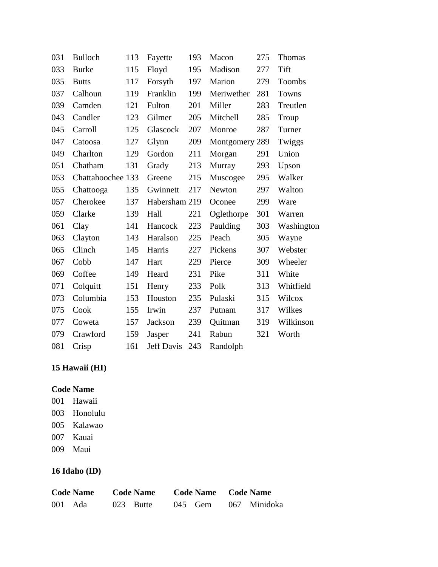| 031 | <b>Bulloch</b>    | 113 | Fayette           | 193 | Macon          | 275 | Thomas     |
|-----|-------------------|-----|-------------------|-----|----------------|-----|------------|
| 033 | <b>Burke</b>      | 115 | Floyd             | 195 | Madison        | 277 | Tift       |
| 035 | <b>Butts</b>      | 117 | Forsyth           | 197 | Marion         | 279 | Toombs     |
| 037 | Calhoun           | 119 | Franklin          | 199 | Meriwether     | 281 | Towns      |
| 039 | Camden            | 121 | Fulton            | 201 | Miller         | 283 | Treutlen   |
| 043 | Candler           | 123 | Gilmer            | 205 | Mitchell       | 285 | Troup      |
| 045 | Carroll           | 125 | Glascock          | 207 | Monroe         | 287 | Turner     |
| 047 | Catoosa           | 127 | Glynn             | 209 | Montgomery 289 |     | Twiggs     |
| 049 | Charlton          | 129 | Gordon            | 211 | Morgan         | 291 | Union      |
| 051 | Chatham           | 131 | Grady             | 213 | Murray         | 293 | Upson      |
| 053 | Chattahoochee 133 |     | Greene            | 215 | Muscogee       | 295 | Walker     |
| 055 | Chattooga         | 135 | Gwinnett          | 217 | Newton         | 297 | Walton     |
| 057 | Cherokee          | 137 | Habersham 219     |     | Oconee         | 299 | Ware       |
| 059 | Clarke            | 139 | Hall              | 221 | Oglethorpe     | 301 | Warren     |
| 061 | Clay              | 141 | Hancock           | 223 | Paulding       | 303 | Washington |
| 063 | Clayton           | 143 | Haralson          | 225 | Peach          | 305 | Wayne      |
| 065 | Clinch            | 145 | Harris            | 227 | Pickens        | 307 | Webster    |
| 067 | Cobb              | 147 | Hart              | 229 | Pierce         | 309 | Wheeler    |
| 069 | Coffee            | 149 | Heard             | 231 | Pike           | 311 | White      |
| 071 | Colquitt          | 151 | Henry             | 233 | Polk           | 313 | Whitfield  |
| 073 | Columbia          | 153 | Houston           | 235 | Pulaski        | 315 | Wilcox     |
| 075 | Cook              | 155 | Irwin             | 237 | Putnam         | 317 | Wilkes     |
| 077 | Coweta            | 157 | Jackson           | 239 | Quitman        | 319 | Wilkinson  |
| 079 | Crawford          | 159 | Jasper            | 241 | Rabun          | 321 | Worth      |
| 081 | Crisp             | 161 | <b>Jeff Davis</b> | 243 | Randolph       |     |            |

# **15 Hawaii (HI)**

## **Code Name**

- 001 Hawaii 003 Honolulu
- 005 Kalawao
- 007 Kauai
- 009 Maui

# **16 Idaho (ID)**

| <b>Code Name</b> |         | <b>Code Name</b> |             |           | Code Name Code Name |              |  |
|------------------|---------|------------------|-------------|-----------|---------------------|--------------|--|
|                  | 001 Ada |                  | $023$ Butte | $045$ Gem |                     | 067 Minidoka |  |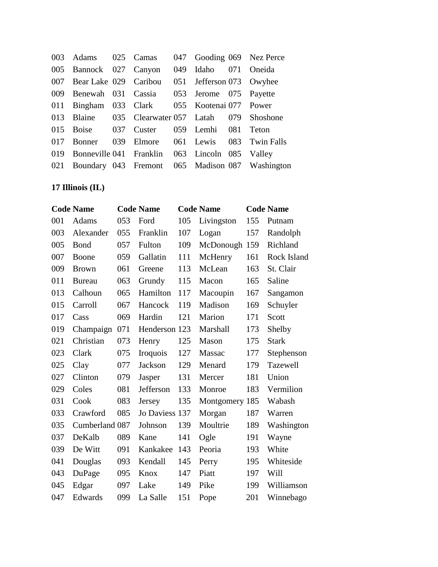| 003 Adams 025 Camas 047 Gooding 069 Nez Perce      |  |                      |                                                     |
|----------------------------------------------------|--|----------------------|-----------------------------------------------------|
| 005 Bannock 027 Canyon                             |  | 049 Idaho 071 Oneida |                                                     |
| 007 Bear Lake 029 Caribou 051 Jefferson 073 Owyhee |  |                      |                                                     |
| 009 Benewah 031 Cassia 053 Jerome 075 Payette      |  |                      |                                                     |
| 011 Bingham 033 Clark 055 Kootenai 077 Power       |  |                      |                                                     |
| 013 Blaine 035 Clearwater 057 Latah 079 Shoshone   |  |                      |                                                     |
| 015 Boise 037 Custer 059 Lemhi 081 Teton           |  |                      |                                                     |
| 017 Bonner                                         |  |                      | 039 Elmore 061 Lewis 083 Twin Falls                 |
| 019 Bonneville 041 Franklin 063 Lincoln 085 Valley |  |                      |                                                     |
|                                                    |  |                      | 021 Boundary 043 Fremont 065 Madison 087 Washington |

# **17 Illinois (IL)**

|     | <b>Code Name</b> |     | <b>Code Name</b> |     | <b>Code Name</b> |     | <b>Code Name</b> |
|-----|------------------|-----|------------------|-----|------------------|-----|------------------|
| 001 | Adams            | 053 | Ford             | 105 | Livingston       | 155 | Putnam           |
| 003 | Alexander        | 055 | Franklin         | 107 | Logan            | 157 | Randolph         |
| 005 | Bond             | 057 | Fulton           | 109 | McDonough 159    |     | Richland         |
| 007 | Boone            | 059 | Gallatin         | 111 | McHenry          | 161 | Rock Island      |
| 009 | <b>Brown</b>     | 061 | Greene           | 113 | McLean           | 163 | St. Clair        |
| 011 | <b>Bureau</b>    | 063 | Grundy           | 115 | Macon            | 165 | Saline           |
| 013 | Calhoun          | 065 | Hamilton         | 117 | Macoupin         | 167 | Sangamon         |
| 015 | Carroll          | 067 | Hancock          | 119 | Madison          | 169 | Schuyler         |
| 017 | Cass             | 069 | Hardin           | 121 | Marion           | 171 | Scott            |
| 019 | Champaign        | 071 | Henderson 123    |     | Marshall         | 173 | Shelby           |
| 021 | Christian        | 073 | Henry            | 125 | Mason            | 175 | <b>Stark</b>     |
| 023 | Clark            | 075 | <b>Iroquois</b>  | 127 | Massac           | 177 | Stephenson       |
| 025 | Clay             | 077 | Jackson          | 129 | Menard           | 179 | Tazewell         |
| 027 | Clinton          | 079 | Jasper           | 131 | Mercer           | 181 | Union            |
| 029 | Coles            | 081 | Jefferson        | 133 | Monroe           | 183 | Vermilion        |
| 031 | Cook             | 083 | Jersey           | 135 | Montgomery 185   |     | Wabash           |
| 033 | Crawford         | 085 | Jo Daviess 137   |     | Morgan           | 187 | Warren           |
| 035 | Cumberland 087   |     | Johnson          | 139 | Moultrie         | 189 | Washington       |
| 037 | DeKalb           | 089 | Kane             | 141 | Ogle             | 191 | Wayne            |
| 039 | De Witt          | 091 | Kankakee         | 143 | Peoria           | 193 | White            |
| 041 | Douglas          | 093 | Kendall          | 145 | Perry            | 195 | Whiteside        |
| 043 | DuPage           | 095 | Knox             | 147 | Piatt            | 197 | Will             |
| 045 | Edgar            | 097 | Lake             | 149 | Pike             | 199 | Williamson       |
| 047 | Edwards          | 099 | La Salle         | 151 | Pope             | 201 | Winnebago        |
|     |                  |     |                  |     |                  |     |                  |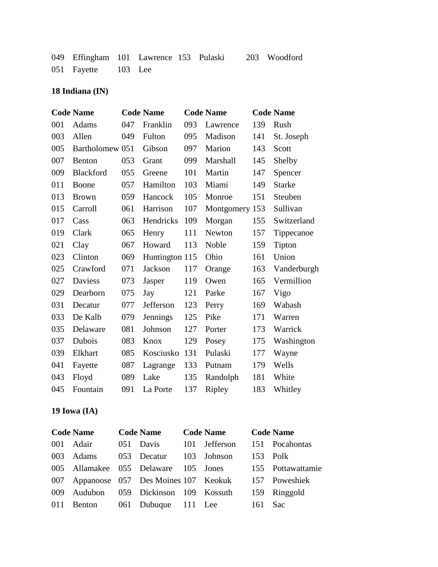| 049 Effingham 101 Lawrence 153 Pulaski 203 Woodford |  |  |  |
|-----------------------------------------------------|--|--|--|
| 051 Fayette 103 Lee                                 |  |  |  |

## **18 Indiana (IN)**

|     | <b>Code Name</b> |     | <b>Code Name</b> |     | <b>Code Name</b> |     | <b>Code Name</b> |
|-----|------------------|-----|------------------|-----|------------------|-----|------------------|
| 001 | Adams            | 047 | Franklin         | 093 | Lawrence         | 139 | Rush             |
| 003 | Allen            | 049 | Fulton           | 095 | Madison          | 141 | St. Joseph       |
| 005 | Bartholomew 051  |     | Gibson           | 097 | Marion           | 143 | Scott            |
| 007 | Benton           | 053 | Grant            | 099 | Marshall         | 145 | Shelby           |
| 009 | Blackford        | 055 | Greene           | 101 | Martin           | 147 | Spencer          |
| 011 | Boone            | 057 | Hamilton         | 103 | Miami            | 149 | <b>Starke</b>    |
| 013 | <b>Brown</b>     | 059 | Hancock          | 105 | Monroe           | 151 | Steuben          |
| 015 | Carroll          | 061 | Harrison         | 107 | Montgomery 153   |     | Sullivan         |
| 017 | Cass             | 063 | Hendricks        | 109 | Morgan           | 155 | Switzerland      |
| 019 | Clark            | 065 | Henry            | 111 | Newton           | 157 | Tippecanoe       |
| 021 | Clay             | 067 | Howard           | 113 | Noble            | 159 | Tipton           |
| 023 | Clinton          | 069 | Huntington 115   |     | Ohio             | 161 | Union            |
| 025 | Crawford         | 071 | Jackson          | 117 | Orange           | 163 | Vanderburgh      |
| 027 | <b>Daviess</b>   | 073 | Jasper           | 119 | Owen             | 165 | Vermillion       |
| 029 | Dearborn         | 075 | Jay              | 121 | Parke            | 167 | Vigo             |
| 031 | Decatur          | 077 | Jefferson        | 123 | Perry            | 169 | Wabash           |
| 033 | De Kalb          | 079 | Jennings         | 125 | Pike             | 171 | Warren           |
| 035 | Delaware         | 081 | Johnson          | 127 | Porter           | 173 | Warrick          |
| 037 | Dubois           | 083 | Knox             | 129 | Posey            | 175 | Washington       |
| 039 | Elkhart          | 085 | Kosciusko        | 131 | Pulaski          | 177 | Wayne            |
| 041 | Fayette          | 087 | Lagrange         | 133 | Putnam           | 179 | Wells            |
| 043 | Floyd            | 089 | Lake             | 135 | Randolph         | 181 | White            |
| 045 | Fountain         | 091 | La Porte         | 137 | Ripley           | 183 | Whitley          |
|     |                  |     |                  |     |                  |     |                  |

# **19 Iowa (IA)**

| <b>Code Name</b> |                         | Code Name Code Name                                   |          | <b>Code Name</b>                                       |
|------------------|-------------------------|-------------------------------------------------------|----------|--------------------------------------------------------|
| 001 Adair        |                         | 051 Davis 101 Jefferson 151 Pocahontas                |          |                                                        |
| 003 Adams        | 053 Decatur 103 Johnson |                                                       | 153 Polk |                                                        |
|                  |                         |                                                       |          | 005 Allamakee 055 Delaware 105 Jones 155 Pottawattamie |
|                  |                         | 007 Appanoose 057 Des Moines 107 Keokuk 157 Poweshiek |          |                                                        |
|                  |                         | 009 Audubon 059 Dickinson 109 Kossuth 159 Ringgold    |          |                                                        |
|                  |                         | 011 Benton 061 Dubuque 111 Lee 161 Sac                |          |                                                        |